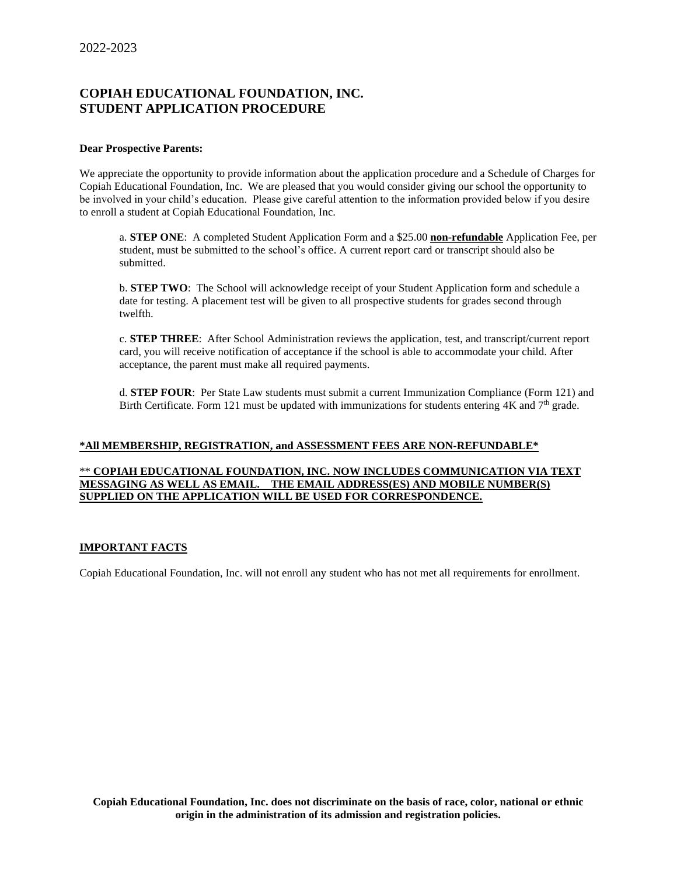# **COPIAH EDUCATIONAL FOUNDATION, INC. STUDENT APPLICATION PROCEDURE**

#### **Dear Prospective Parents:**

We appreciate the opportunity to provide information about the application procedure and a Schedule of Charges for Copiah Educational Foundation, Inc. We are pleased that you would consider giving our school the opportunity to be involved in your child's education. Please give careful attention to the information provided below if you desire to enroll a student at Copiah Educational Foundation, Inc.

a. **STEP ONE**: A completed Student Application Form and a \$25.00 **non-refundable** Application Fee, per student, must be submitted to the school's office. A current report card or transcript should also be submitted.

b. **STEP TWO**: The School will acknowledge receipt of your Student Application form and schedule a date for testing. A placement test will be given to all prospective students for grades second through twelfth.

c. **STEP THREE**: After School Administration reviews the application, test, and transcript/current report card, you will receive notification of acceptance if the school is able to accommodate your child. After acceptance, the parent must make all required payments.

d. **STEP FOUR**: Per State Law students must submit a current Immunization Compliance (Form 121) and Birth Certificate. Form 121 must be updated with immunizations for students entering  $4K$  and  $7<sup>th</sup>$  grade.

### **\*All MEMBERSHIP, REGISTRATION, and ASSESSMENT FEES ARE NON-REFUNDABLE\***

#### \*\* **COPIAH EDUCATIONAL FOUNDATION, INC. NOW INCLUDES COMMUNICATION VIA TEXT MESSAGING AS WELL AS EMAIL. THE EMAIL ADDRESS(ES) AND MOBILE NUMBER(S) SUPPLIED ON THE APPLICATION WILL BE USED FOR CORRESPONDENCE.**

### **IMPORTANT FACTS**

Copiah Educational Foundation, Inc. will not enroll any student who has not met all requirements for enrollment.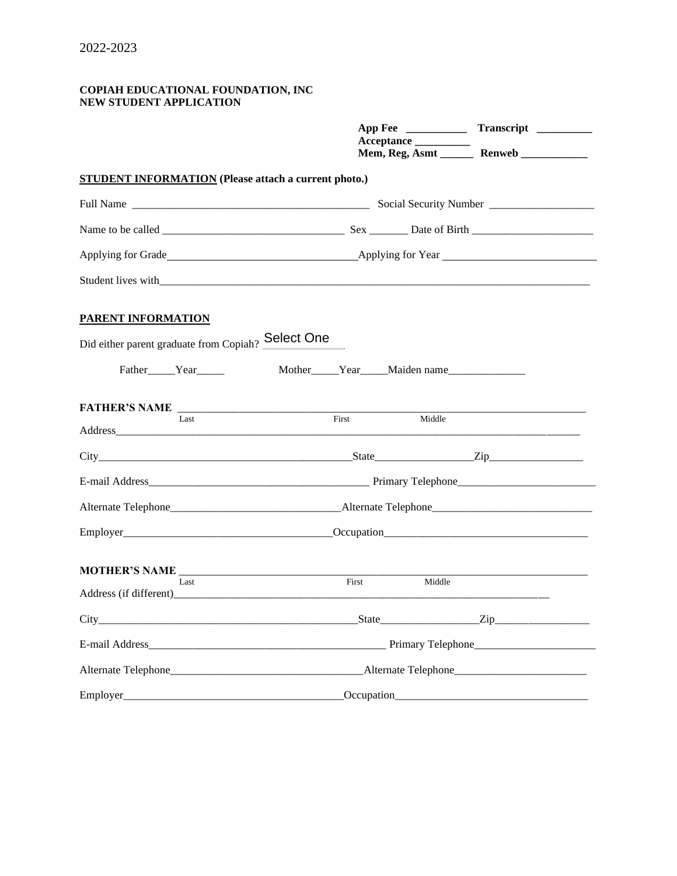#### **COPIAH EDUCATIONAL FOUNDATION, INC NEW STUDENT APPLICATION**

|                                                             | Acceptance<br>Mem, Reg, Asmt Renweb                                                                                                                                                                                            |  |  |  |
|-------------------------------------------------------------|--------------------------------------------------------------------------------------------------------------------------------------------------------------------------------------------------------------------------------|--|--|--|
| <b>STUDENT INFORMATION</b> (Please attach a current photo.) |                                                                                                                                                                                                                                |  |  |  |
|                                                             |                                                                                                                                                                                                                                |  |  |  |
|                                                             |                                                                                                                                                                                                                                |  |  |  |
|                                                             | Applying for Grade Applying for Year Applying for Year Applying for Year Applying for Year Applying for Year Applying for Year Applying for Year Applying for Year Applying for Year Applying for Year Applying for Year Apply |  |  |  |
| Student lives with Student and Student 1.                   |                                                                                                                                                                                                                                |  |  |  |
| PARENT INFORMATION                                          |                                                                                                                                                                                                                                |  |  |  |
| Did either parent graduate from Copiah? Select One          |                                                                                                                                                                                                                                |  |  |  |
| Father Year                                                 | Mother_____Year_____Maiden name______________                                                                                                                                                                                  |  |  |  |
|                                                             |                                                                                                                                                                                                                                |  |  |  |
| Last                                                        | First<br>Middle                                                                                                                                                                                                                |  |  |  |
|                                                             |                                                                                                                                                                                                                                |  |  |  |
|                                                             |                                                                                                                                                                                                                                |  |  |  |
|                                                             |                                                                                                                                                                                                                                |  |  |  |
|                                                             | Employer Cocupation Communication Cocupation                                                                                                                                                                                   |  |  |  |
| Last                                                        | First<br>Middle                                                                                                                                                                                                                |  |  |  |
|                                                             |                                                                                                                                                                                                                                |  |  |  |
|                                                             |                                                                                                                                                                                                                                |  |  |  |
|                                                             |                                                                                                                                                                                                                                |  |  |  |
|                                                             |                                                                                                                                                                                                                                |  |  |  |
| Employer                                                    | Occupation                                                                                                                                                                                                                     |  |  |  |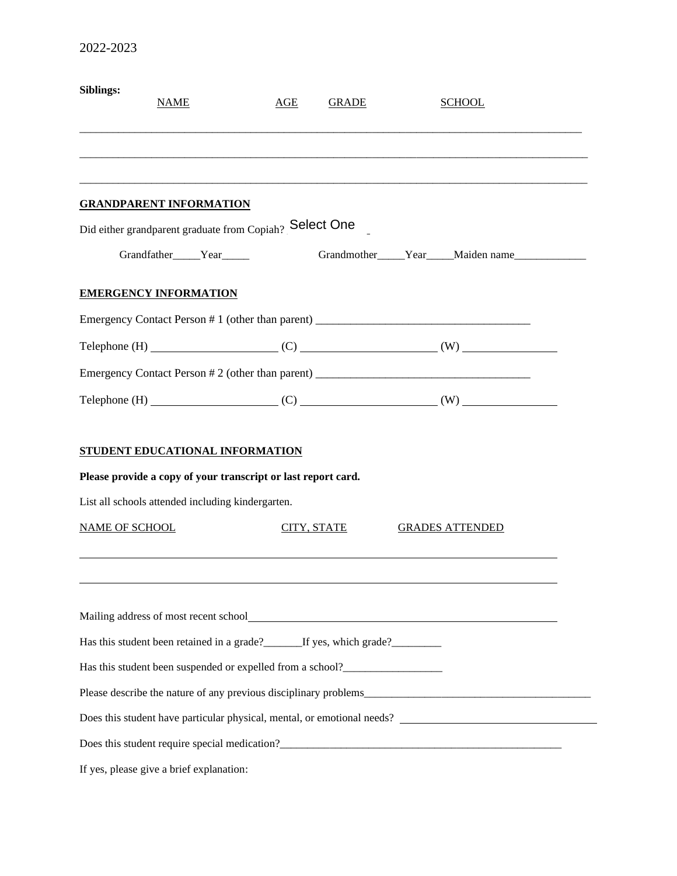| Siblings:             | <b>NAME</b>                                                                                      | AGE | <b>GRADE</b> | <b>SCHOOL</b>                                                                     |
|-----------------------|--------------------------------------------------------------------------------------------------|-----|--------------|-----------------------------------------------------------------------------------|
|                       |                                                                                                  |     |              |                                                                                   |
|                       |                                                                                                  |     |              |                                                                                   |
|                       | <b>GRANDPARENT INFORMATION</b>                                                                   |     |              |                                                                                   |
|                       | Did either grandparent graduate from Copiah? Select One                                          |     |              |                                                                                   |
|                       | Grandfather_____Year_____                                                                        |     |              |                                                                                   |
|                       | <b>EMERGENCY INFORMATION</b>                                                                     |     |              |                                                                                   |
|                       |                                                                                                  |     |              | Emergency Contact Person # 1 (other than parent) ________________________________ |
|                       |                                                                                                  |     |              | Telephone (H) $\qquad (C)$ $\qquad (W)$                                           |
|                       |                                                                                                  |     |              |                                                                                   |
|                       |                                                                                                  |     |              | Telephone $(H)$ (C) (C) (W)                                                       |
|                       | STUDENT EDUCATIONAL INFORMATION<br>Please provide a copy of your transcript or last report card. |     |              |                                                                                   |
|                       | List all schools attended including kindergarten.                                                |     |              |                                                                                   |
| <b>NAME OF SCHOOL</b> |                                                                                                  |     | CITY, STATE  | <b>GRADES ATTENDED</b>                                                            |
|                       |                                                                                                  |     |              |                                                                                   |
|                       |                                                                                                  |     |              |                                                                                   |
|                       | Has this student been retained in a grade?________If yes, which grade?__________                 |     |              |                                                                                   |
|                       | Has this student been suspended or expelled from a school?______________________                 |     |              |                                                                                   |
|                       |                                                                                                  |     |              |                                                                                   |
|                       |                                                                                                  |     |              | Does this student have particular physical, mental, or emotional needs?           |
|                       |                                                                                                  |     |              |                                                                                   |
|                       | If yes, please give a brief explanation:                                                         |     |              |                                                                                   |